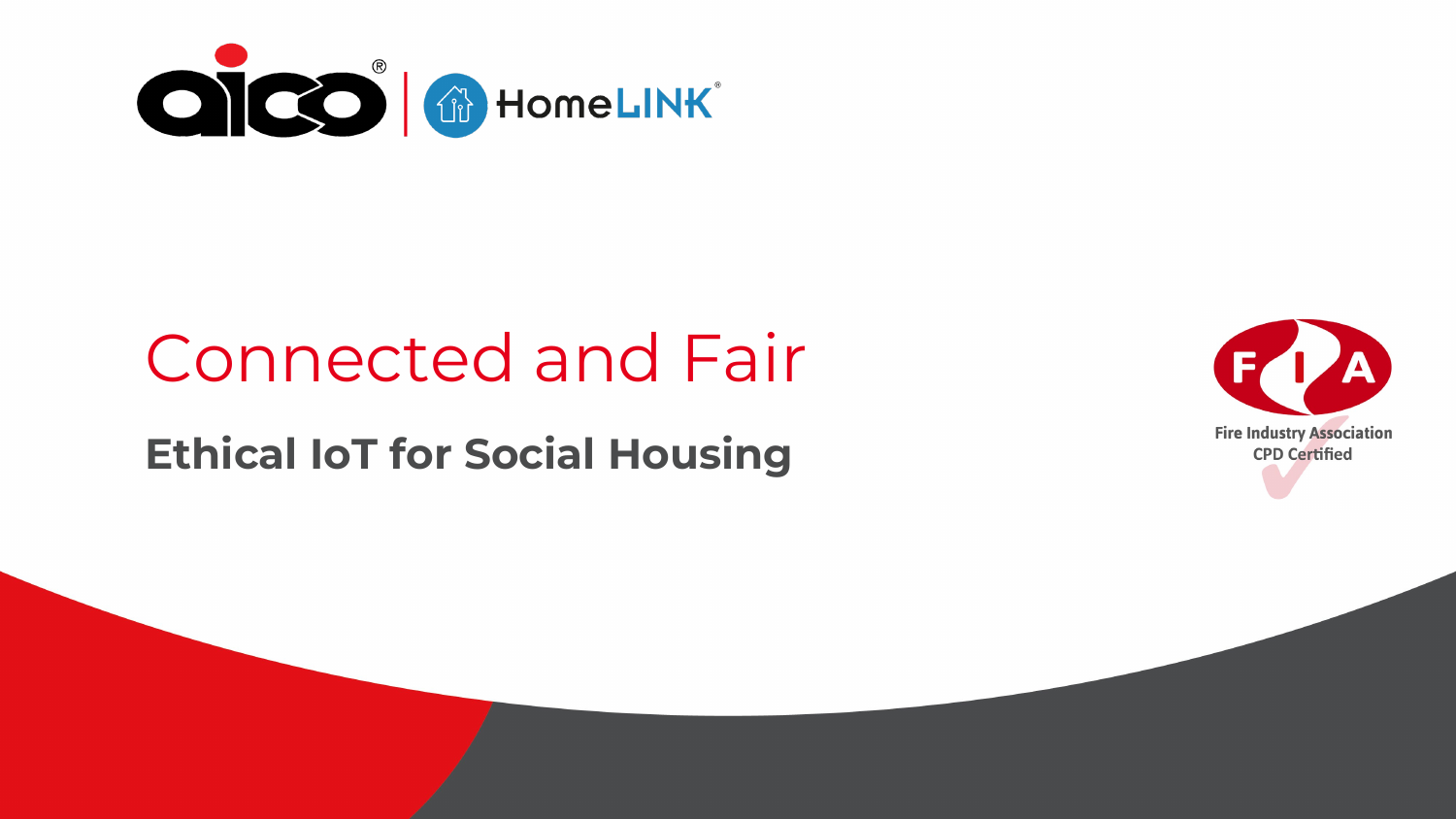

#### Connected and Fair

#### **Ethical IoT for Social Housing**

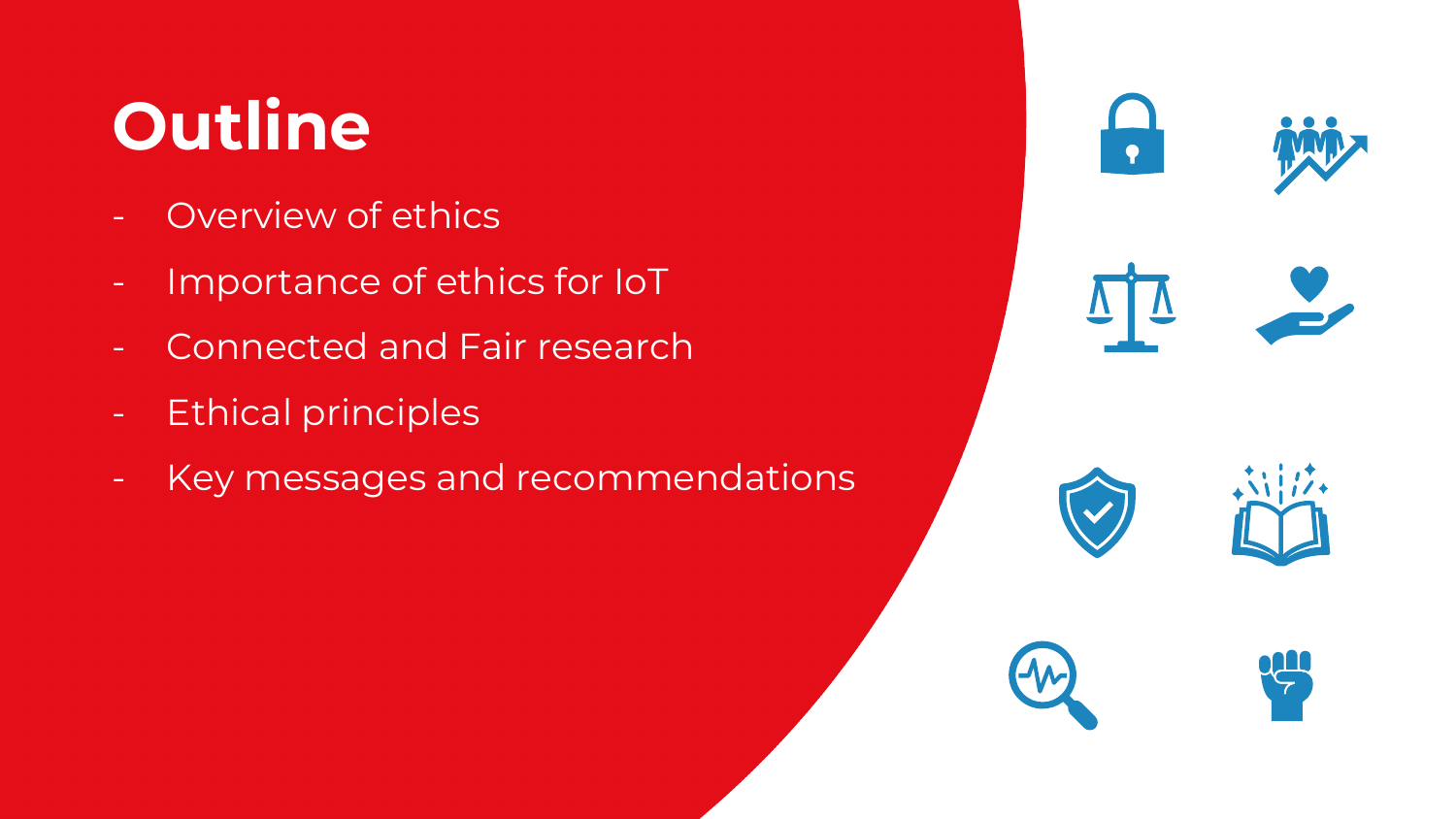# **Outline**

- **Overview of ethics**
- Importance of ethics for IoT
- Connected and Fair research
- Ethical principles
- Key messages and recommendations

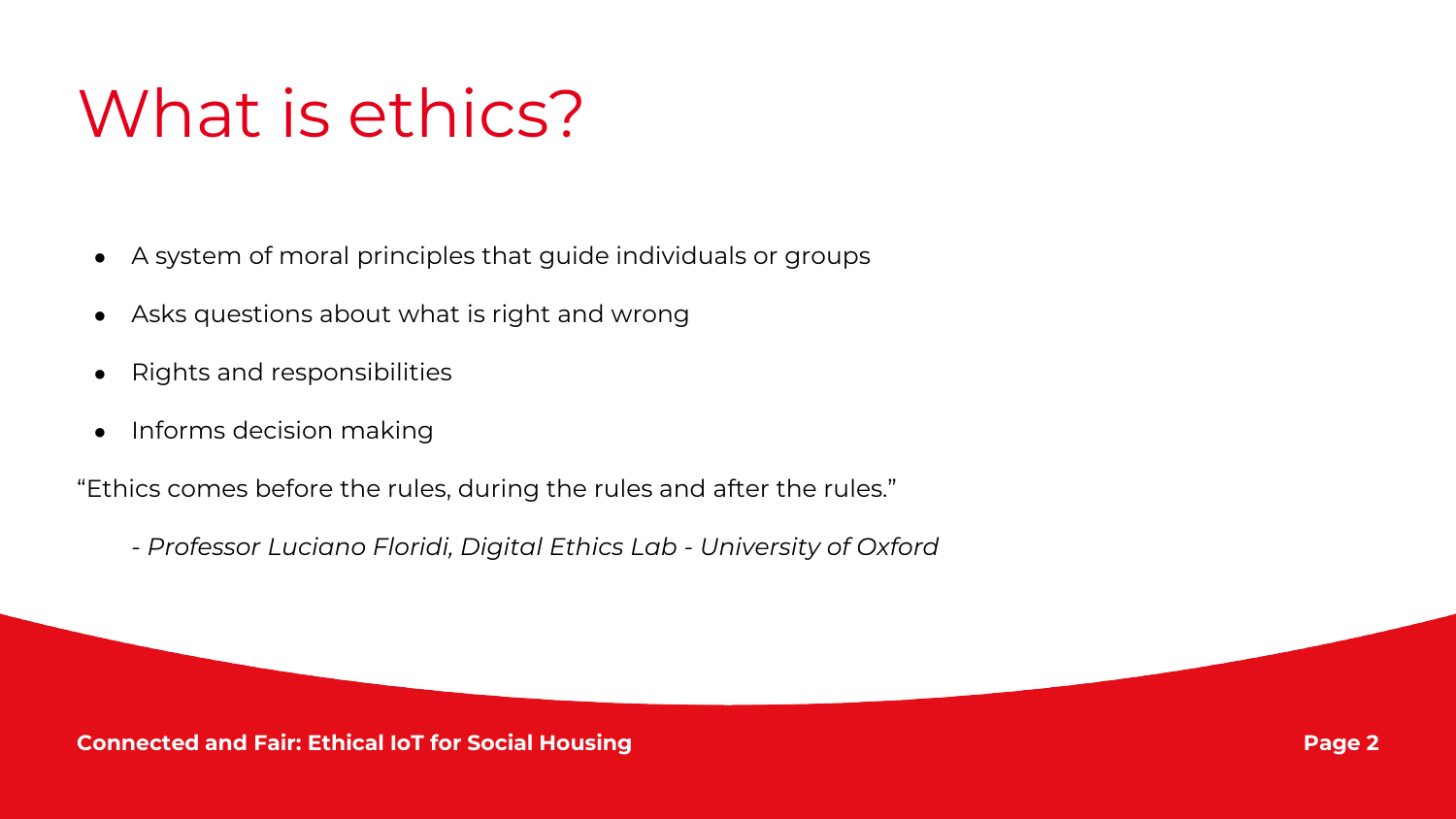## What is ethics?

- A system of moral principles that guide individuals or groups
- Asks questions about what is right and wrong
- Rights and responsibilities
- Informs decision making

"Ethics comes before the rules, during the rules and after the rules."

*- Professor Luciano Floridi, Digital Ethics Lab - University of Oxford*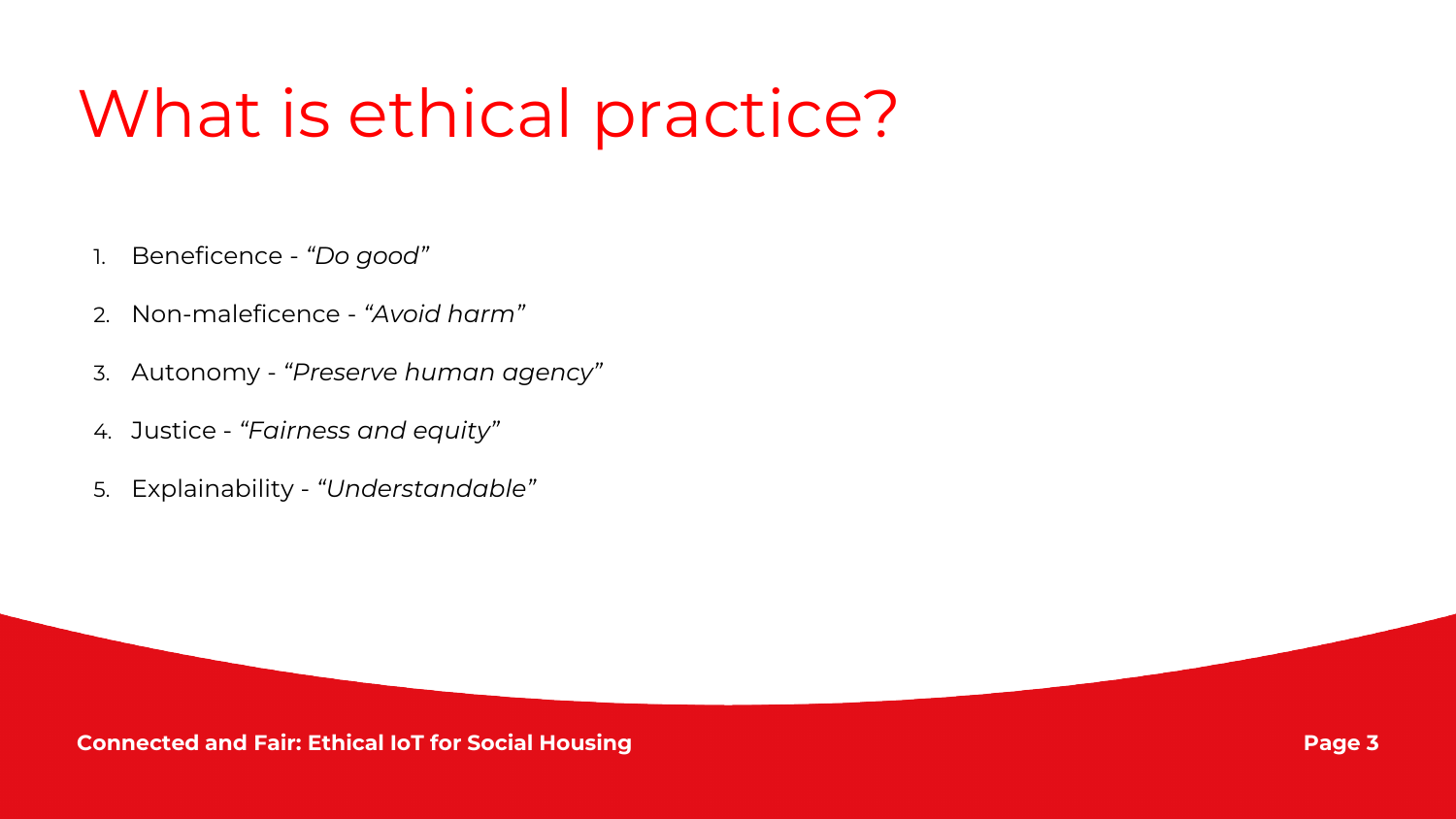### What is ethical practice?

- 1. Beneficence *"Do good"*
- 2. Non-maleficence *"Avoid harm"*
- 3. Autonomy *"Preserve human agency"*
- 4. Justice *"Fairness and equity"*
- 5. Explainability *"Understandable"*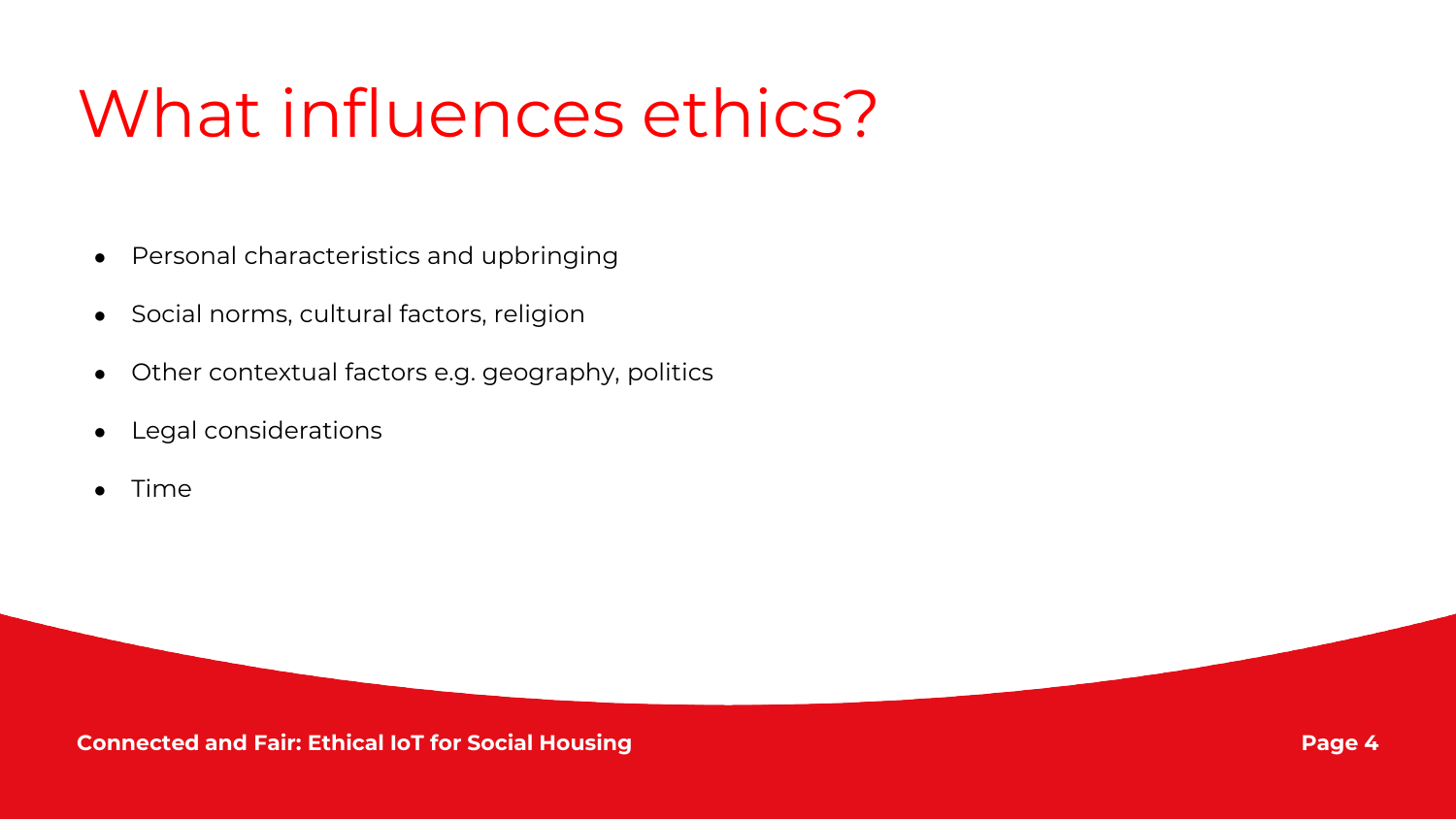## What influences ethics?

- Personal characteristics and upbringing
- Social norms, cultural factors, religion
- Other contextual factors e.g. geography, politics
- Legal considerations
- **Time**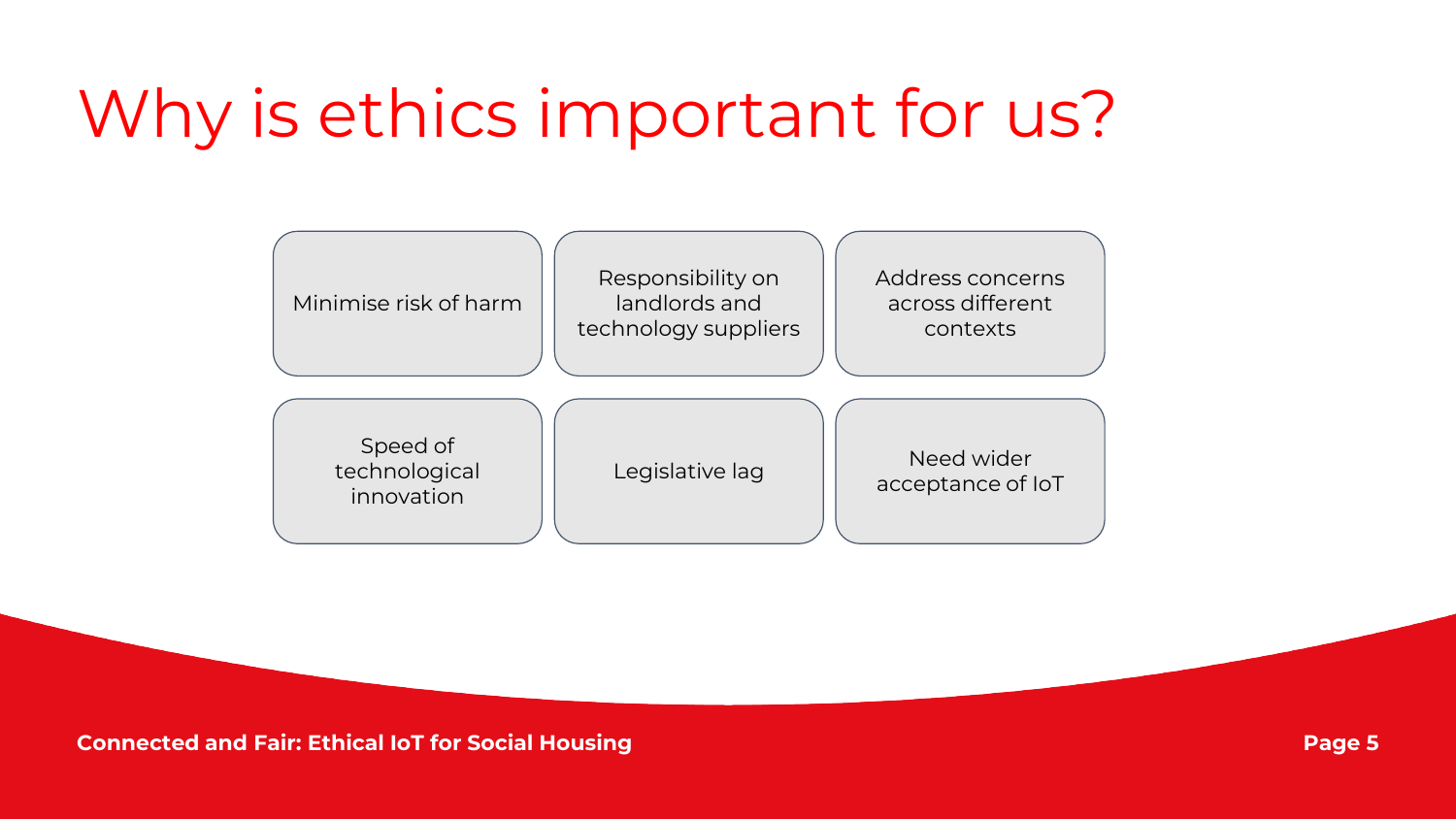## Why is ethics important for us?

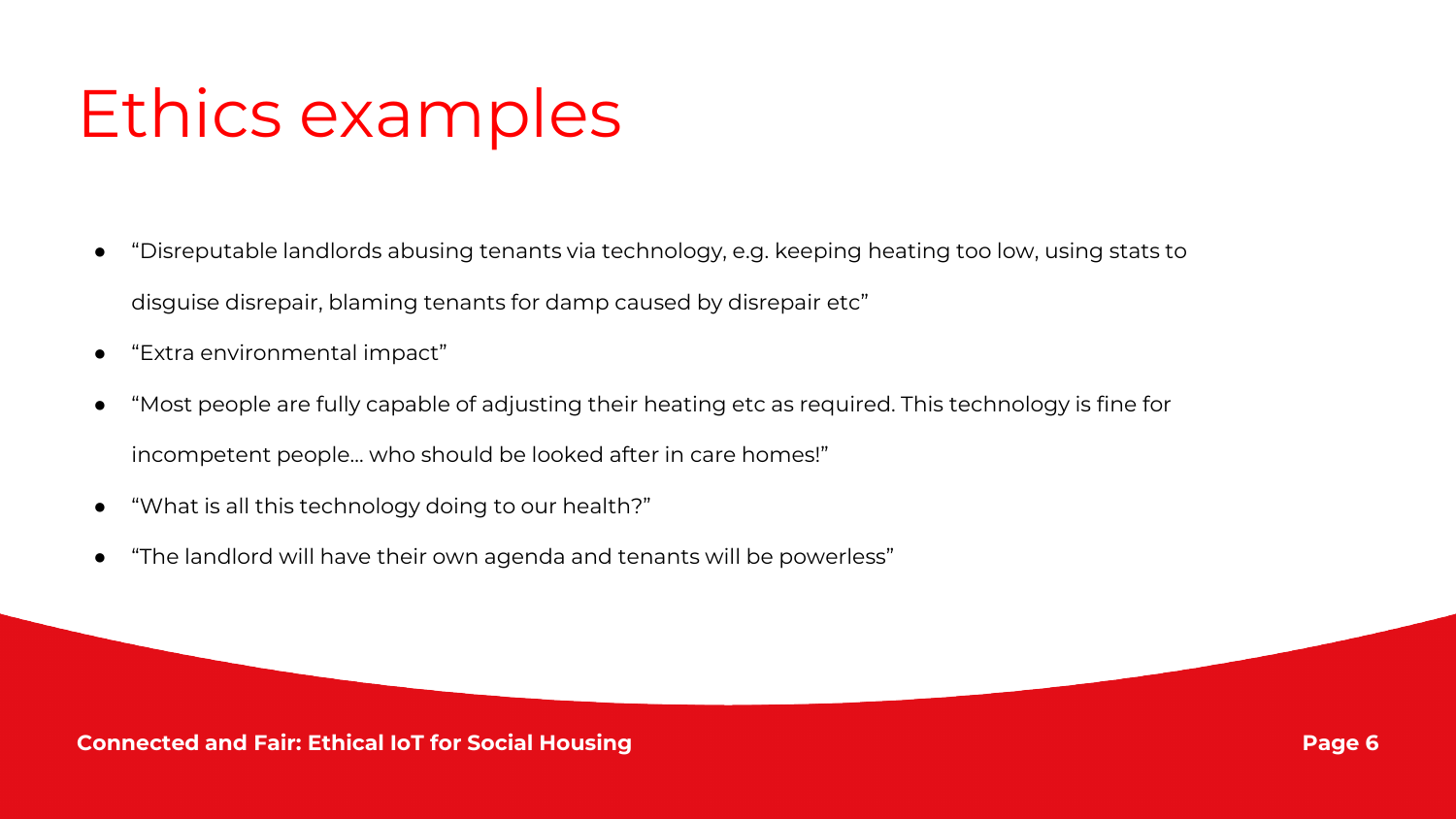## Ethics examples

- "Disreputable landlords abusing tenants via technology, e.g. keeping heating too low, using stats to disguise disrepair, blaming tenants for damp caused by disrepair etc"
- "Extra environmental impact"
- "Most people are fully capable of adjusting their heating etc as required. This technology is fine for incompetent people... who should be looked after in care homes!"
- "What is all this technology doing to our health?"
- "The landlord will have their own agenda and tenants will be powerless"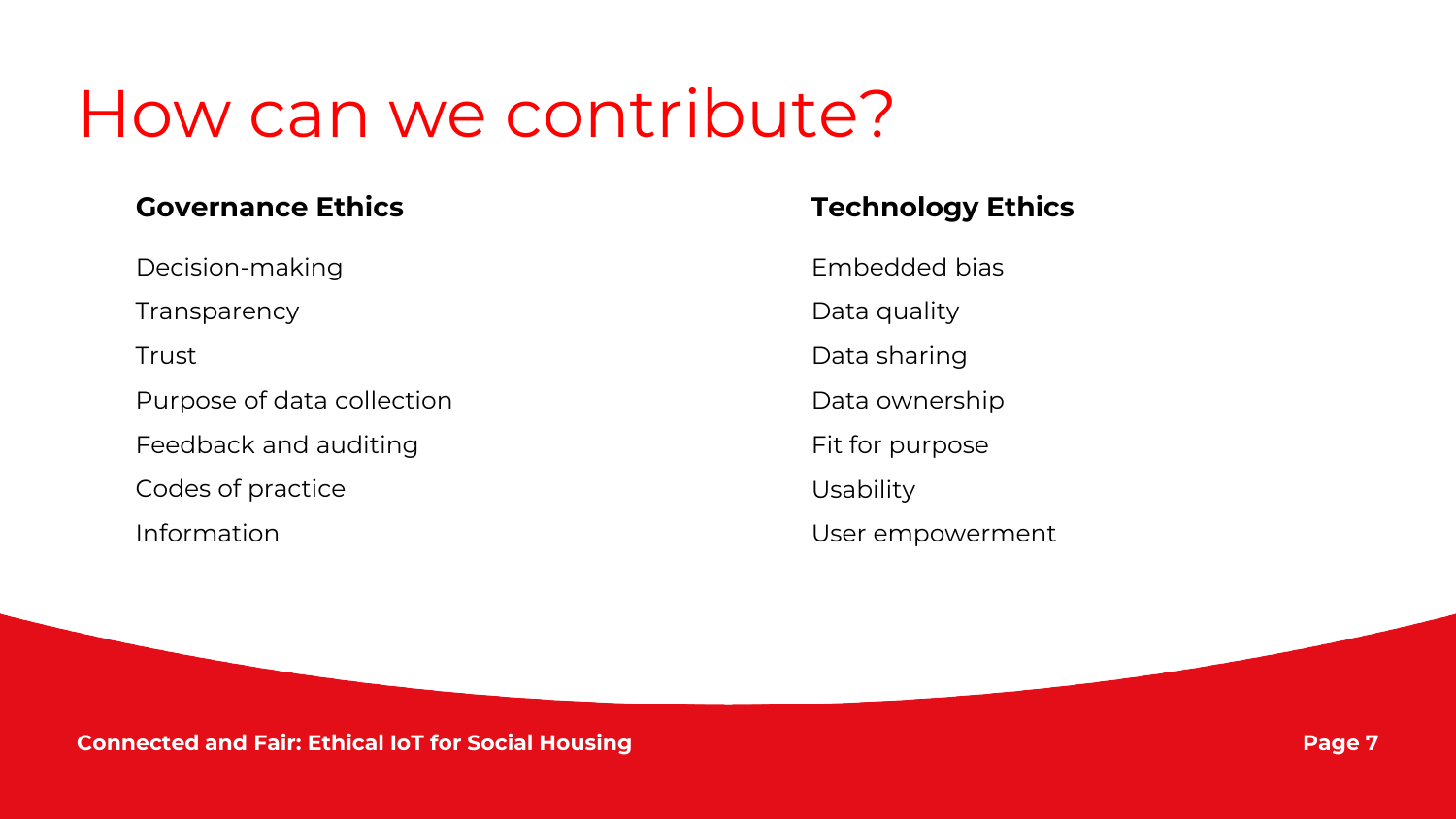#### How can we contribute?

#### **Governance Ethics Technology Ethics**

Decision-making

**Transparency** 

**Trust** 

Purpose of data collection

Feedback and auditing

Codes of practice

Information

Embedded bias

Data quality

Data sharing

Data ownership

Fit for purpose

Usability

User empowerment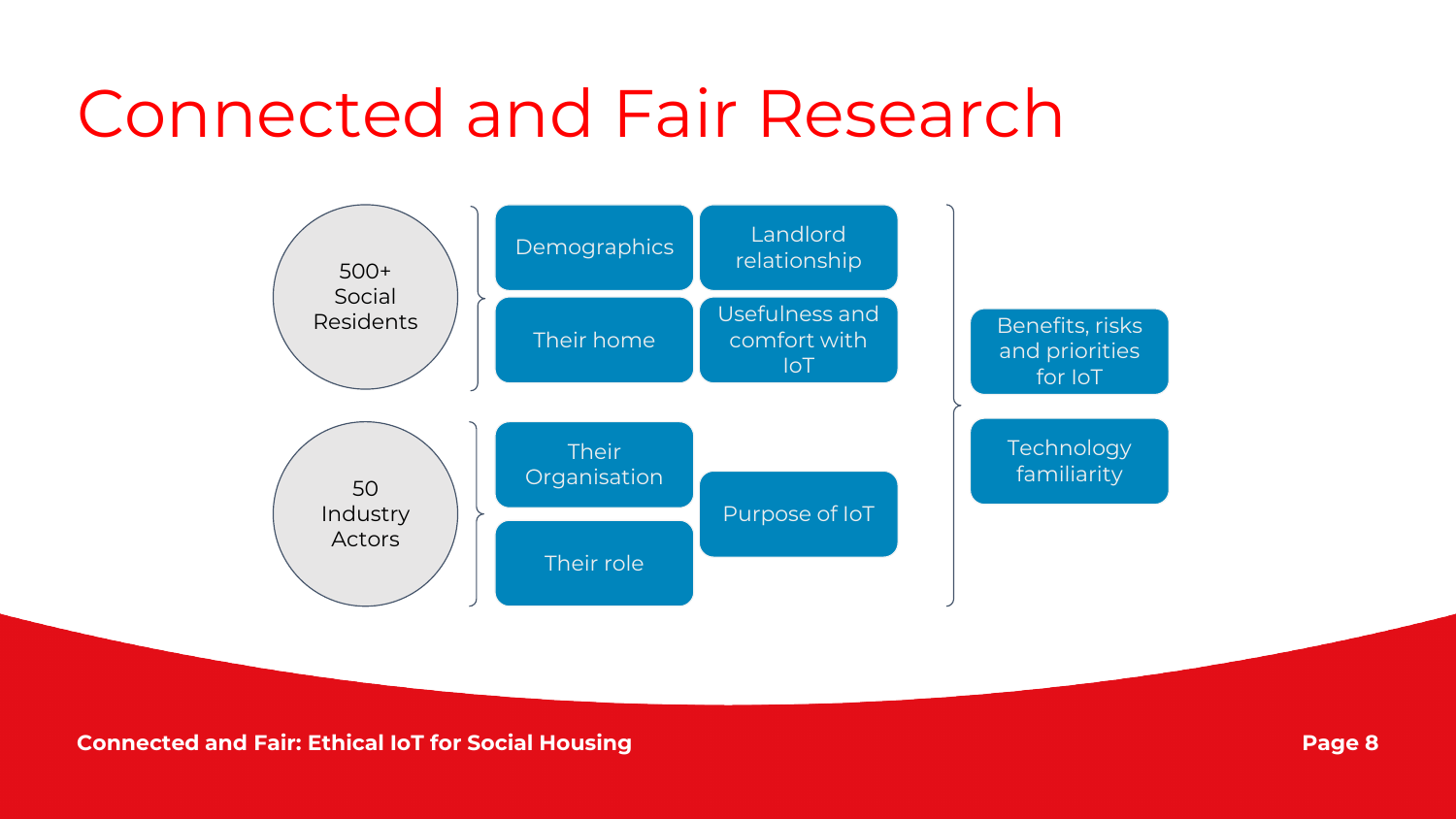#### Connected and Fair Research

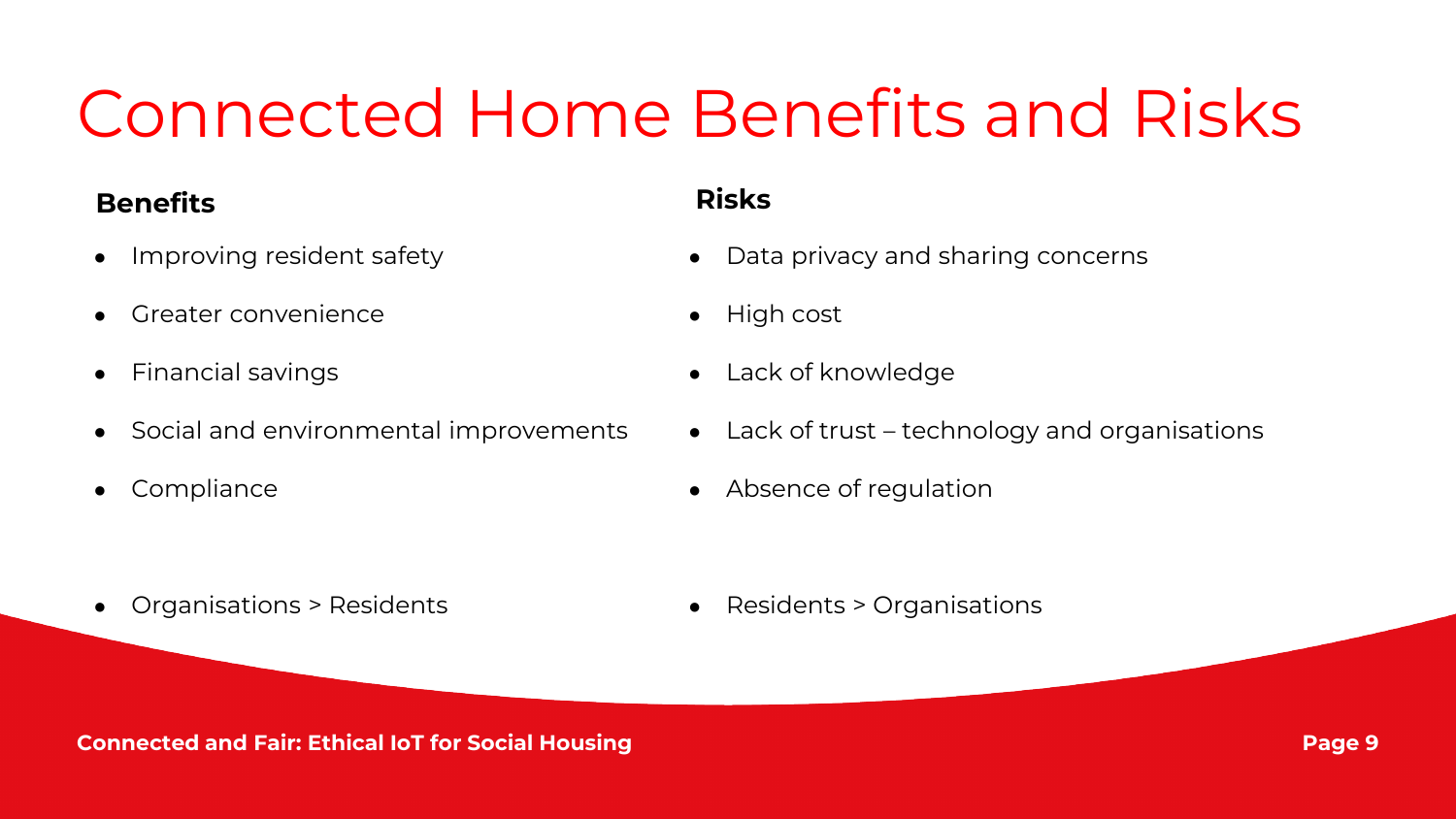## Connected Home Benefits and Risks

#### **Benefits Risks**

- Improving resident safety
- Greater convenience
- **Financial savings**
- Social and environmental improvements
- Compliance

- Data privacy and sharing concerns
- High cost
- Lack of knowledge
- $\bullet$  Lack of trust technology and organisations
- Absence of regulation

● Organisations > Residents

● Residents > Organisations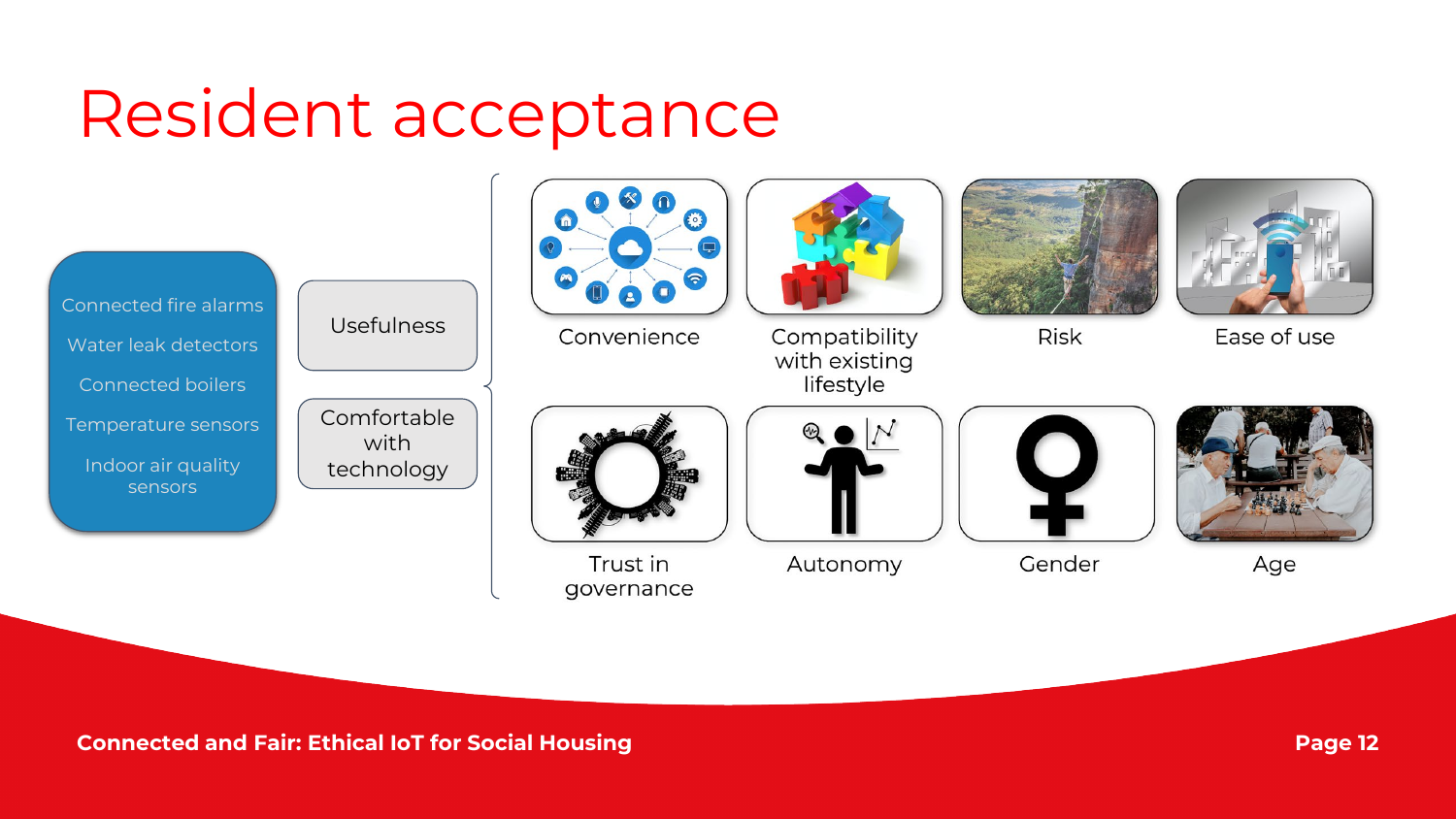#### Resident acceptance







Convenience



Compatibility

with existing lifestyle



**Risk** 



Ease of use



Trust in governance



Autonomy



Gender



Age

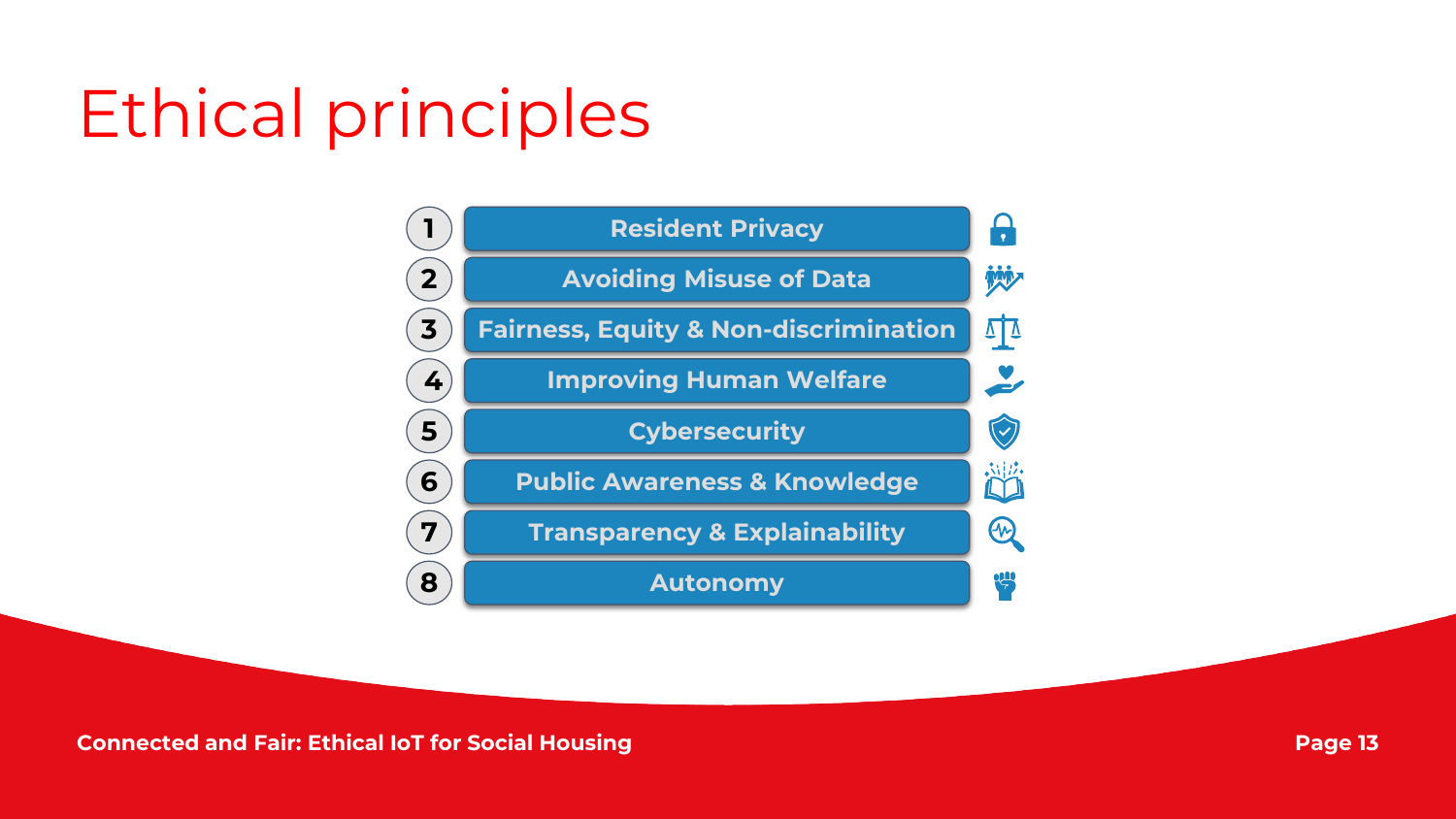# Ethical principles

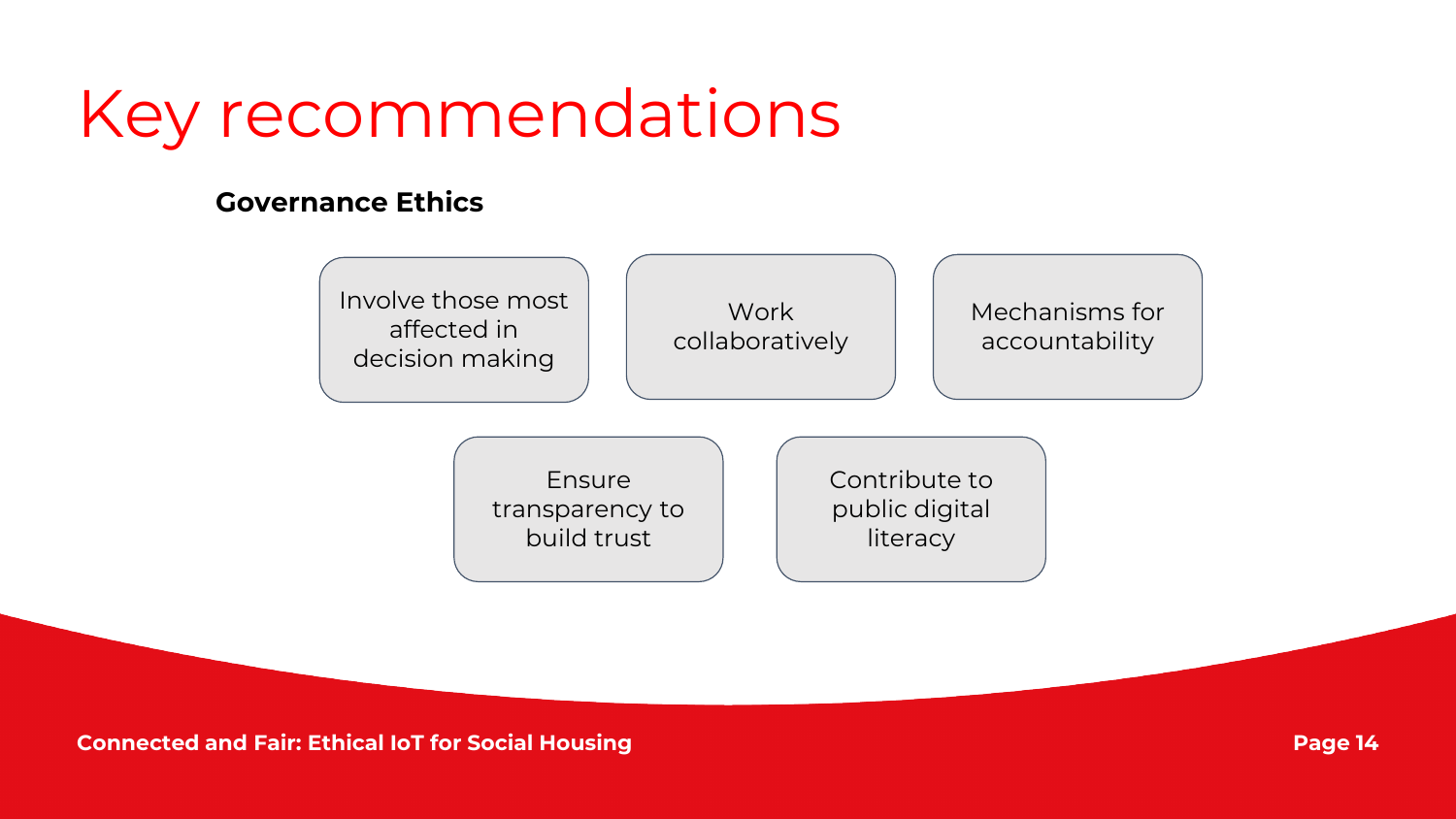#### Key recommendations

#### **Governance Ethics**

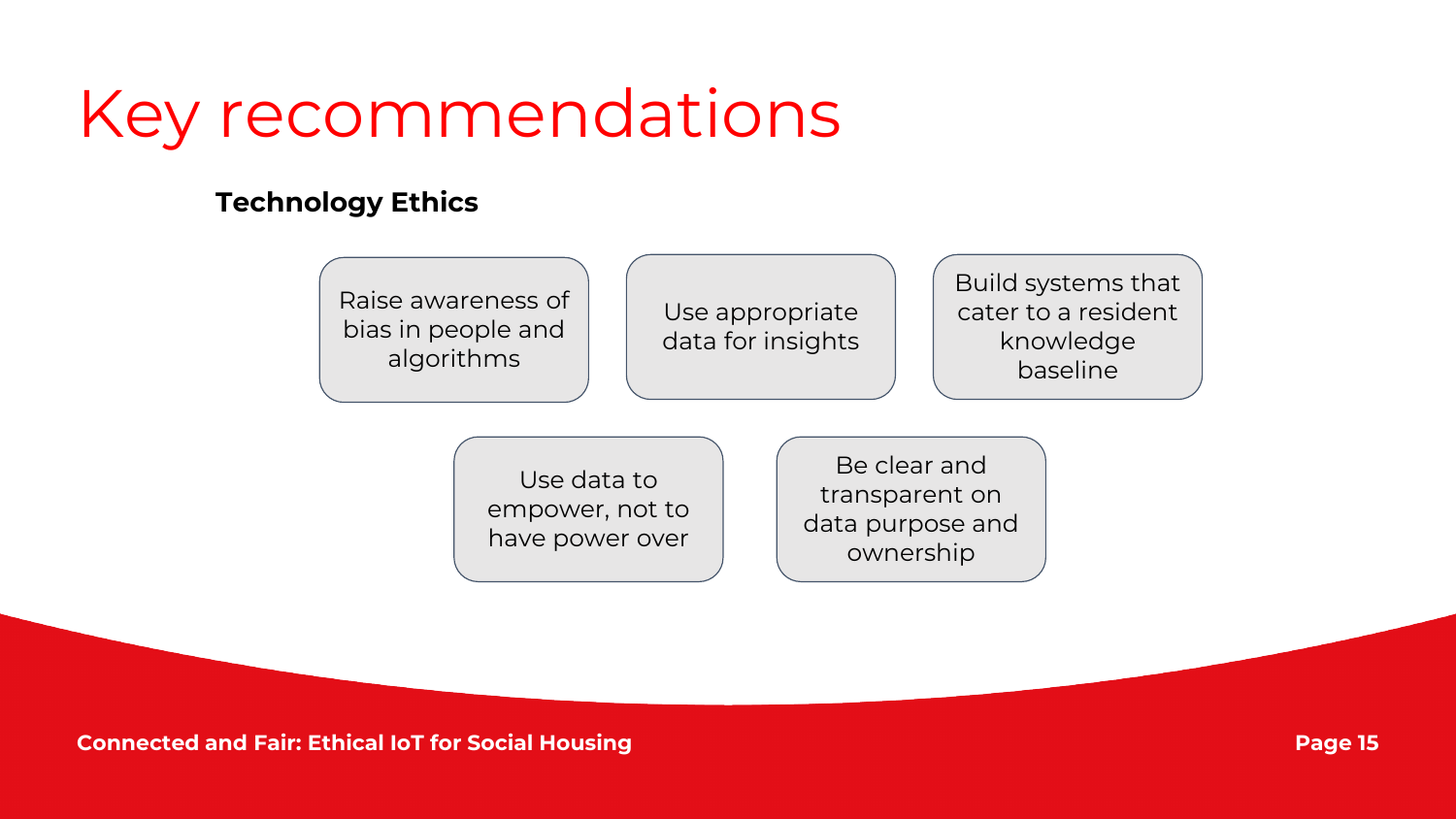#### Key recommendations

#### **Technology Ethics**